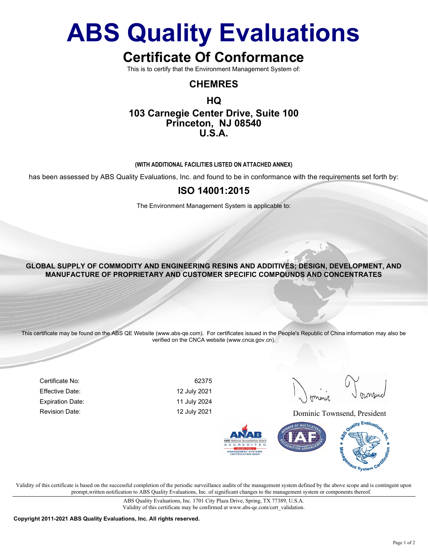# ABS Quality Evaluations

# Certificate Of Conformance

This is to certify that the Environment Management System of:

### CHEMRES

### HQ 103 Carnegie Center Drive, Suite 100 Princeton, NJ 08540 U.S.A.

#### (WITH ADDITIONAL FACILITIES LISTED ON ATTACHED ANNEX)

has been assessed by ABS Quality Evaluations, Inc. and found to be in conformance with the requirements set forth by:

#### ISO 14001:2015

The Environment Management System is applicable to:

#### GLOBAL SUPPLY OF COMMODITY AND ENGINEERING RESINS AND ADDITIVES; DESIGN, DEVELOPMENT, AND MANUFACTURE OF PROPRIETARY AND CUSTOMER SPECIFIC COMPOUNDS AND CONCENTRATES

This certificate may be found on the ABS QE Website (www.abs-qe.com). For certificates issued in the People's Republic of China information may also be verified on the CNCA website (www.cnca.gov.cn).

Certificate No: 62375 Effective Date: 12 July 2021 Expiration Date: 11 July 2024

Revision Date: The Contract of the May 2021 2021 Dominic Townsend, President



Validity of this certificate is based on the successful completion of the periodic surveillance audits of the management system defined by the above scope and is contingent upon prompt,written notification to ABS Quality Evaluations, Inc. of significant changes to the management system or components thereof.

> ABS Quality Evaluations, Inc. 1701 City Plaza Drive, Spring, TX 77389, U.S.A. Validity of this certificate may be confirmed at www.abs-qe.com/cert\_validation.

Copyright 2011-2021 ABS Quality Evaluations, Inc. All rights reserved.